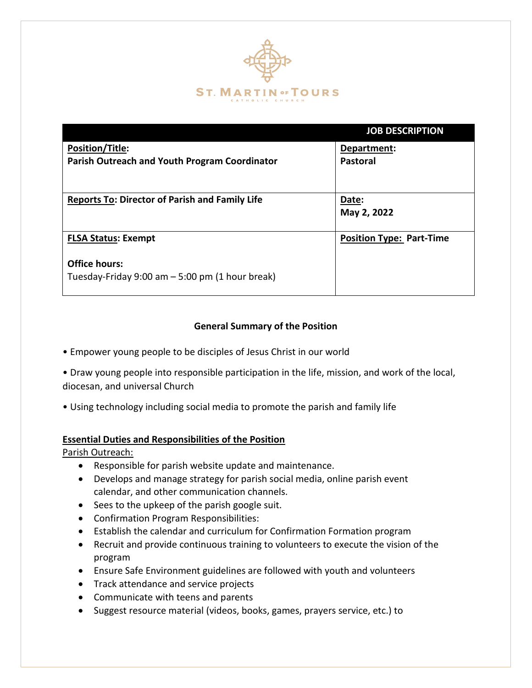

| <b>JOB DESCRIPTION</b>          |
|---------------------------------|
| Department:                     |
| <b>Pastoral</b>                 |
|                                 |
| Date:                           |
| May 2, 2022                     |
| <b>Position Type: Part-Time</b> |
|                                 |
|                                 |
|                                 |

## **General Summary of the Position**

- Empower young people to be disciples of Jesus Christ in our world
- Draw young people into responsible participation in the life, mission, and work of the local, diocesan, and universal Church
- Using technology including social media to promote the parish and family life

### **Essential Duties and Responsibilities of the Position**

Parish Outreach:

- Responsible for parish website update and maintenance.
- Develops and manage strategy for parish social media, online parish event calendar, and other communication channels.
- Sees to the upkeep of the parish google suit.
- Confirmation Program Responsibilities:
- Establish the calendar and curriculum for Confirmation Formation program
- Recruit and provide continuous training to volunteers to execute the vision of the program
- Ensure Safe Environment guidelines are followed with youth and volunteers
- Track attendance and service projects
- Communicate with teens and parents
- Suggest resource material (videos, books, games, prayers service, etc.) to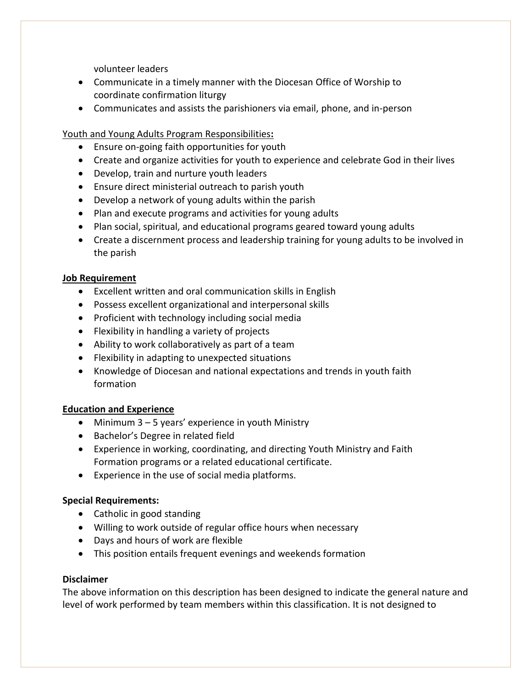volunteer leaders

- Communicate in a timely manner with the Diocesan Office of Worship to coordinate confirmation liturgy
- Communicates and assists the parishioners via email, phone, and in-person

Youth and Young Adults Program Responsibilities**:**

- Ensure on-going faith opportunities for youth
- Create and organize activities for youth to experience and celebrate God in their lives
- Develop, train and nurture youth leaders
- Ensure direct ministerial outreach to parish youth
- Develop a network of young adults within the parish
- Plan and execute programs and activities for young adults
- Plan social, spiritual, and educational programs geared toward young adults
- Create a discernment process and leadership training for young adults to be involved in the parish

## **Job Requirement**

- Excellent written and oral communication skills in English
- Possess excellent organizational and interpersonal skills
- Proficient with technology including social media
- Flexibility in handling a variety of projects
- Ability to work collaboratively as part of a team
- Flexibility in adapting to unexpected situations
- Knowledge of Diocesan and national expectations and trends in youth faith formation

# **Education and Experience**

- Minimum 3 5 years' experience in youth Ministry
- Bachelor's Degree in related field
- Experience in working, coordinating, and directing Youth Ministry and Faith Formation programs or a related educational certificate.
- Experience in the use of social media platforms.

# **Special Requirements:**

- Catholic in good standing
- Willing to work outside of regular office hours when necessary
- Days and hours of work are flexible
- This position entails frequent evenings and weekends formation

### **Disclaimer**

The above information on this description has been designed to indicate the general nature and level of work performed by team members within this classification. It is not designed to